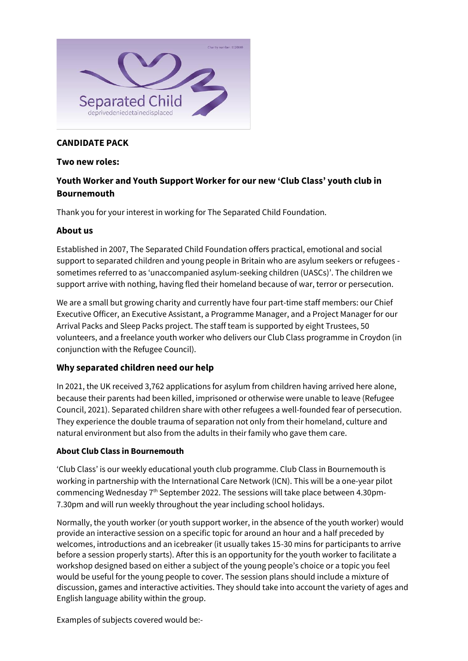

# **CANDIDATE PACK**

#### **Two new roles:**

# **Youth Worker and Youth Support Worker for our new 'Club Class' youth club in Bournemouth**

Thank you for your interest in working for The Separated Child Foundation.

### **About us**

Established in 2007, The Separated Child Foundation offers practical, emotional and social support to separated children and young people in Britain who are asylum seekers or refugees sometimes referred to as 'unaccompanied asylum-seeking children (UASCs)'. The children we support arrive with nothing, having fled their homeland because of war, terror or persecution.

We are a small but growing charity and currently have four part-time staff members: our Chief Executive Officer, an Executive Assistant, a Programme Manager, and a Project Manager for our Arrival Packs and Sleep Packs project. The staff team is supported by eight Trustees, 50 volunteers, and a freelance youth worker who delivers our Club Class programme in Croydon (in conjunction with the Refugee Council).

# **Why separated children need our help**

In 2021, the UK received 3,762 applications for asylum from children having arrived here alone, because their parents had been killed, imprisoned or otherwise were unable to leave (Refugee Council, 2021). Separated children share with other refugees a well-founded fear of persecution. They experience the double trauma of separation not only from their homeland, culture and natural environment but also from the adults in their family who gave them care.

# **About Club Class in Bournemouth**

'Club Class' is our weekly educational youth club programme. Club Class in Bournemouth is working in partnership with the International Care Network (ICN). This will be a one-year pilot commencing Wednesday 7th September 2022. The sessions will take place between 4.30pm-7.30pm and will run weekly throughout the year including school holidays.

Normally, the youth worker (or youth support worker, in the absence of the youth worker) would provide an interactive session on a specific topic for around an hour and a half preceded by welcomes, introductions and an icebreaker (it usually takes 15-30 mins for participants to arrive before a session properly starts). After this is an opportunity for the youth worker to facilitate a workshop designed based on either a subject of the young people's choice or a topic you feel would be useful for the young people to cover. The session plans should include a mixture of discussion, games and interactive activities. They should take into account the variety of ages and English language ability within the group.

Examples of subjects covered would be:-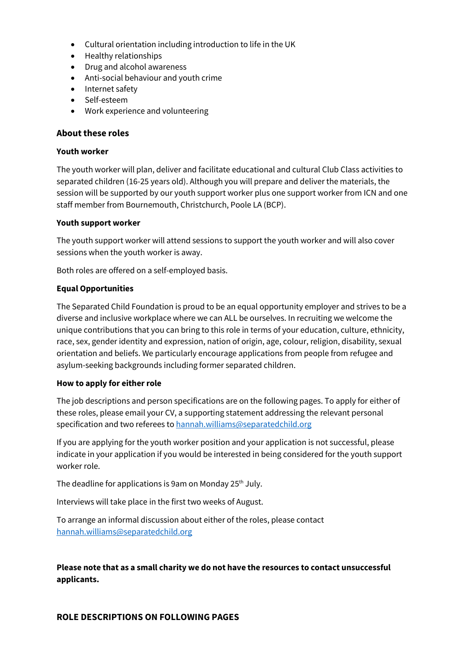- Cultural orientation including introduction to life in the UK
- Healthy relationships
- Drug and alcohol awareness
- Anti-social behaviour and youth crime
- Internet safety
- Self-esteem
- Work experience and volunteering

### **About these roles**

#### **Youth worker**

The youth worker will plan, deliver and facilitate educational and cultural Club Class activities to separated children (16-25 years old). Although you will prepare and deliver the materials, the session will be supported by our youth support worker plus one support worker from ICN and one staff member from Bournemouth, Christchurch, Poole LA (BCP).

#### **Youth support worker**

The youth support worker will attend sessions to support the youth worker and will also cover sessions when the youth worker is away.

Both roles are offered on a self-employed basis.

#### **Equal Opportunities**

The Separated Child Foundation is proud to be an equal opportunity employer and strives to be a diverse and inclusive workplace where we can ALL be ourselves. In recruiting we welcome the unique contributions that you can bring to this role in terms of your education, culture, ethnicity, race, sex, gender identity and expression, nation of origin, age, colour, religion, disability, sexual orientation and beliefs. We particularly encourage applications from people from refugee and asylum-seeking backgrounds including former separated children.

#### **How to apply for either role**

The job descriptions and person specifications are on the following pages. To apply for either of these roles, please email your CV, a supporting statement addressing the relevant personal specification and two referees to [hannah.williams@separatedchild.org](mailto:hannah.williams@separatedchild.org)

If you are applying for the youth worker position and your application is not successful, please indicate in your application if you would be interested in being considered for the youth support worker role.

The deadline for applications is 9am on Monday 25<sup>th</sup> July.

Interviews will take place in the first two weeks of August.

To arrange an informal discussion about either of the roles, please contact [hannah.williams@separatedchild.org](mailto:hannah.williams@separatedchild.org)

**Please note that as a small charity we do not have the resources to contact unsuccessful applicants.**

#### **ROLE DESCRIPTIONS ON FOLLOWING PAGES**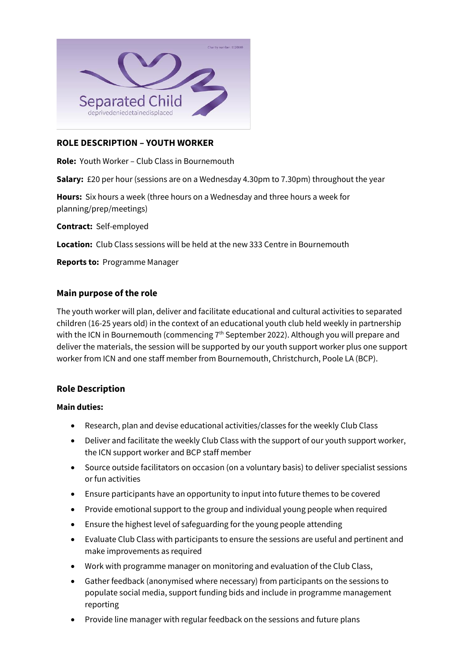

### **ROLE DESCRIPTION – YOUTH WORKER**

**Role:** Youth Worker – Club Class in Bournemouth

**Salary:** £20 per hour (sessions are on a Wednesday 4.30pm to 7.30pm) throughout the year

**Hours:** Six hours a week (three hours on a Wednesday and three hours a week for planning/prep/meetings)

**Contract:** Self-employed

**Location:** Club Class sessions will be held at the new 333 Centre in Bournemouth

**Reports to:** Programme Manager

#### **Main purpose of the role**

The youth worker will plan, deliver and facilitate educational and cultural activities to separated children (16-25 years old) in the context of an educational youth club held weekly in partnership with the ICN in Bournemouth (commencing  $7<sup>th</sup>$  September 2022). Although you will prepare and deliver the materials, the session will be supported by our youth support worker plus one support worker from ICN and one staff member from Bournemouth, Christchurch, Poole LA (BCP).

#### **Role Description**

#### **Main duties:**

- Research, plan and devise educational activities/classes for the weekly Club Class
- Deliver and facilitate the weekly Club Class with the support of our youth support worker, the ICN support worker and BCP staff member
- Source outside facilitators on occasion (on a voluntary basis) to deliver specialist sessions or fun activities
- Ensure participants have an opportunity to input into future themes to be covered
- Provide emotional support to the group and individual young people when required
- Ensure the highest level of safeguarding for the young people attending
- Evaluate Club Class with participants to ensure the sessions are useful and pertinent and make improvements as required
- Work with programme manager on monitoring and evaluation of the Club Class,
- Gather feedback (anonymised where necessary) from participants on the sessions to populate social media, support funding bids and include in programme management reporting
- Provide line manager with regular feedback on the sessions and future plans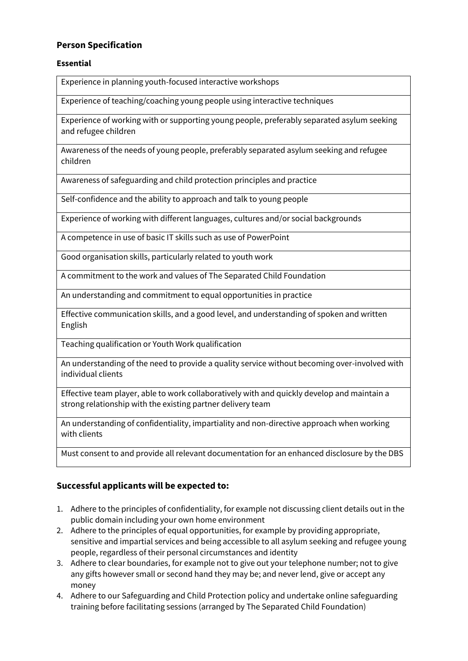# **Person Specification**

### **Essential**

Experience in planning youth-focused interactive workshops

Experience of teaching/coaching young people using interactive techniques

Experience of working with or supporting young people, preferably separated asylum seeking and refugee children

Awareness of the needs of young people, preferably separated asylum seeking and refugee children

Awareness of safeguarding and child protection principles and practice

Self-confidence and the ability to approach and talk to young people

Experience of working with different languages, cultures and/or social backgrounds

A competence in use of basic IT skills such as use of PowerPoint

Good organisation skills, particularly related to youth work

A commitment to the work and values of The Separated Child Foundation

An understanding and commitment to equal opportunities in practice

Effective communication skills, and a good level, and understanding of spoken and written English

Teaching qualification or Youth Work qualification

An understanding of the need to provide a quality service without becoming over-involved with individual clients

Effective team player, able to work collaboratively with and quickly develop and maintain a strong relationship with the existing partner delivery team

An understanding of confidentiality, impartiality and non-directive approach when working with clients

Must consent to and provide all relevant documentation for an enhanced disclosure by the DBS

# **Successful applicants will be expected to:**

- 1. Adhere to the principles of confidentiality, for example not discussing client details out in the public domain including your own home environment
- 2. Adhere to the principles of equal opportunities, for example by providing appropriate, sensitive and impartial services and being accessible to all asylum seeking and refugee young people, regardless of their personal circumstances and identity
- 3. Adhere to clear boundaries, for example not to give out your telephone number; not to give any gifts however small or second hand they may be; and never lend, give or accept any money
- 4. Adhere to our Safeguarding and Child Protection policy and undertake online safeguarding training before facilitating sessions (arranged by The Separated Child Foundation)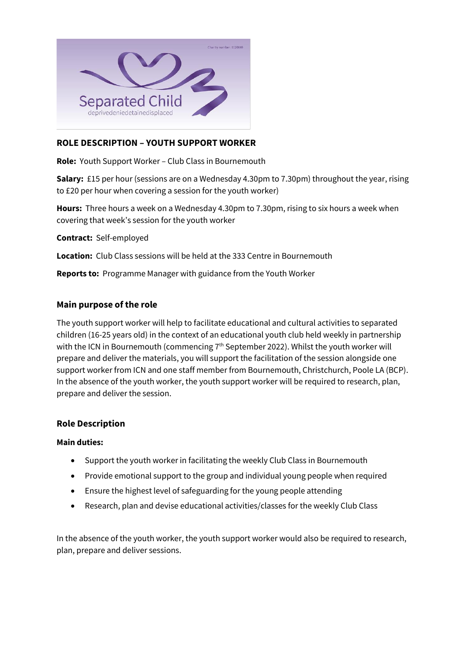

# **ROLE DESCRIPTION – YOUTH SUPPORT WORKER**

**Role:** Youth Support Worker – Club Class in Bournemouth

**Salary:** £15 per hour (sessions are on a Wednesday 4.30pm to 7.30pm) throughout the year, rising to £20 per hour when covering a session for the youth worker)

**Hours:** Three hours a week on a Wednesday 4.30pm to 7.30pm, rising to six hours a week when covering that week's session for the youth worker

**Contract:** Self-employed

**Location:** Club Class sessions will be held at the 333 Centre in Bournemouth

**Reports to:** Programme Manager with guidance from the Youth Worker

# **Main purpose of the role**

The youth support worker will help to facilitate educational and cultural activities to separated children (16-25 years old) in the context of an educational youth club held weekly in partnership with the ICN in Bournemouth (commencing 7<sup>th</sup> September 2022). Whilst the youth worker will prepare and deliver the materials, you will support the facilitation of the session alongside one support worker from ICN and one staff member from Bournemouth, Christchurch, Poole LA (BCP). In the absence of the youth worker, the youth support worker will be required to research, plan, prepare and deliver the session.

#### **Role Description**

#### **Main duties:**

- Support the youth worker in facilitating the weekly Club Class in Bournemouth
- Provide emotional support to the group and individual young people when required
- Ensure the highest level of safeguarding for the young people attending
- Research, plan and devise educational activities/classes for the weekly Club Class

In the absence of the youth worker, the youth support worker would also be required to research, plan, prepare and deliver sessions.